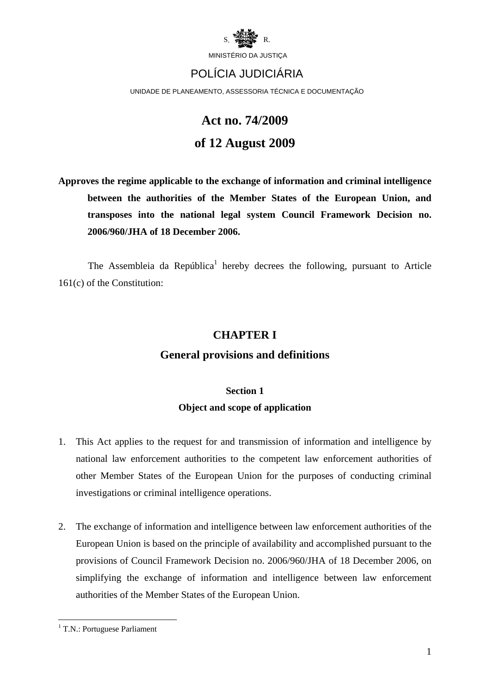

## POLÍCIA JUDICIÁRIA

UNIDADE DE PLANEAMENTO, ASSESSORIA TÉCNICA E DOCUMENTAÇÃO

# **Act no. 74/2009 of 12 August 2009**

**Approves the regime applicable to the exchange of information and criminal intelligence between the authorities of the Member States of the European Union, and transposes into the national legal system Council Framework Decision no. 2006/960/JHA of 18 December 2006.** 

The Assembleia da República<sup>1</sup> hereby decrees the following, pursuant to Article 161(c) of the Constitution:

### **CHAPTER I**

### **General provisions and definitions**

## **Section 1 Object and scope of application**

- 1. This Act applies to the request for and transmission of information and intelligence by national law enforcement authorities to the competent law enforcement authorities of other Member States of the European Union for the purposes of conducting criminal investigations or criminal intelligence operations.
- 2. The exchange of information and intelligence between law enforcement authorities of the European Union is based on the principle of availability and accomplished pursuant to the provisions of Council Framework Decision no. 2006/960/JHA of 18 December 2006, on simplifying the exchange of information and intelligence between law enforcement authorities of the Member States of the European Union.

<u>.</u>

<sup>&</sup>lt;sup>1</sup> T.N.: Portuguese Parliament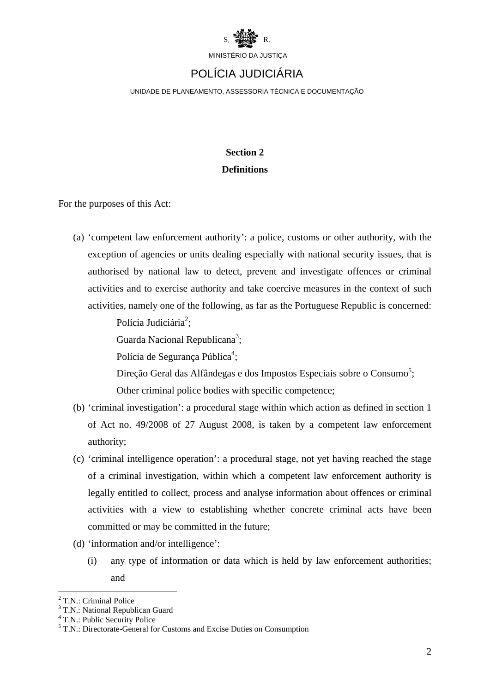

## POLÍCIA JUDICIÁRIA

UNIDADE DE PLANEAMENTO, ASSESSORIA TÉCNICA E DOCUMENTAÇÃO

### **Section 2 Definitions**

For the purposes of this Act:

(a) 'competent law enforcement authority': a police, customs or other authority, with the exception of agencies or units dealing especially with national security issues, that is authorised by national law to detect, prevent and investigate offences or criminal activities and to exercise authority and take coercive measures in the context of such activities, namely one of the following, as far as the Portuguese Republic is concerned:

Polícia Judiciária<sup>2</sup>;

Guarda Nacional Republicana<sup>3</sup>;

Polícia de Segurança Pública<sup>4</sup>;

Direção Geral das Alfândegas e dos Impostos Especiais sobre o Consumo<sup>5</sup>; Other criminal police bodies with specific competence;

- (b) 'criminal investigation': a procedural stage within which action as defined in section 1 of Act no. 49/2008 of 27 August 2008, is taken by a competent law enforcement authority;
- (c) 'criminal intelligence operation': a procedural stage, not yet having reached the stage of a criminal investigation, within which a competent law enforcement authority is legally entitled to collect, process and analyse information about offences or criminal activities with a view to establishing whether concrete criminal acts have been committed or may be committed in the future;
- (d) 'information and/or intelligence':
	- (i) any type of information or data which is held by law enforcement authorities; and

<u>.</u>

<sup>&</sup>lt;sup>2</sup> T.N.: Criminal Police

<sup>&</sup>lt;sup>3</sup> T.N.: National Republican Guard

<sup>&</sup>lt;sup>4</sup> T.N.: Public Security Police

<sup>5</sup> T.N.: Directorate-General for Customs and Excise Duties on Consumption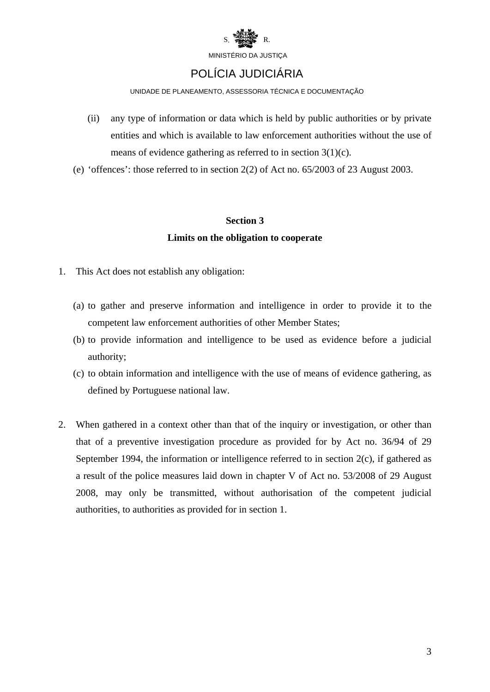

## POLÍCIA JUDICIÁRIA

#### UNIDADE DE PLANEAMENTO, ASSESSORIA TÉCNICA E DOCUMENTAÇÃO

- (ii) any type of information or data which is held by public authorities or by private entities and which is available to law enforcement authorities without the use of means of evidence gathering as referred to in section 3(1)(c).
- (e) 'offences': those referred to in section 2(2) of Act no. 65/2003 of 23 August 2003.

#### **Section 3**

#### **Limits on the obligation to cooperate**

- 1. This Act does not establish any obligation:
	- (a) to gather and preserve information and intelligence in order to provide it to the competent law enforcement authorities of other Member States;
	- (b) to provide information and intelligence to be used as evidence before a judicial authority;
	- (c) to obtain information and intelligence with the use of means of evidence gathering, as defined by Portuguese national law.
- 2. When gathered in a context other than that of the inquiry or investigation, or other than that of a preventive investigation procedure as provided for by Act no. 36/94 of 29 September 1994, the information or intelligence referred to in section 2(c), if gathered as a result of the police measures laid down in chapter V of Act no. 53/2008 of 29 August 2008, may only be transmitted, without authorisation of the competent judicial authorities, to authorities as provided for in section 1.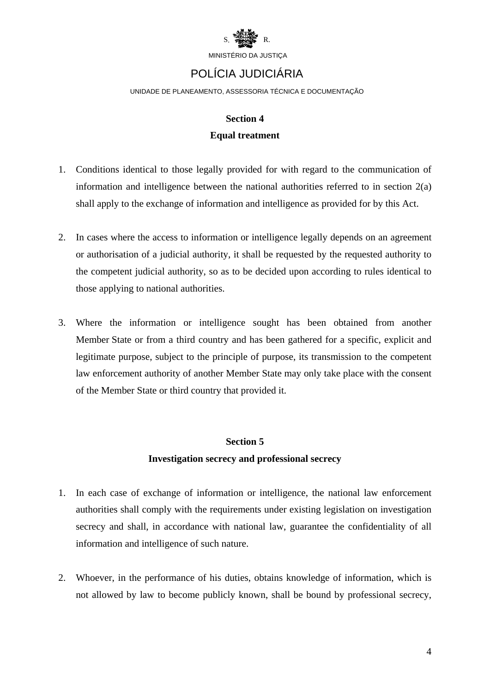

## POLÍCIA JUDICIÁRIA

UNIDADE DE PLANEAMENTO, ASSESSORIA TÉCNICA E DOCUMENTAÇÃO

## **Section 4 Equal treatment**

- 1. Conditions identical to those legally provided for with regard to the communication of information and intelligence between the national authorities referred to in section 2(a) shall apply to the exchange of information and intelligence as provided for by this Act.
- 2. In cases where the access to information or intelligence legally depends on an agreement or authorisation of a judicial authority, it shall be requested by the requested authority to the competent judicial authority, so as to be decided upon according to rules identical to those applying to national authorities.
- 3. Where the information or intelligence sought has been obtained from another Member State or from a third country and has been gathered for a specific, explicit and legitimate purpose, subject to the principle of purpose, its transmission to the competent law enforcement authority of another Member State may only take place with the consent of the Member State or third country that provided it.

#### **Section 5**

#### **Investigation secrecy and professional secrecy**

- 1. In each case of exchange of information or intelligence, the national law enforcement authorities shall comply with the requirements under existing legislation on investigation secrecy and shall, in accordance with national law, guarantee the confidentiality of all information and intelligence of such nature.
- 2. Whoever, in the performance of his duties, obtains knowledge of information, which is not allowed by law to become publicly known, shall be bound by professional secrecy,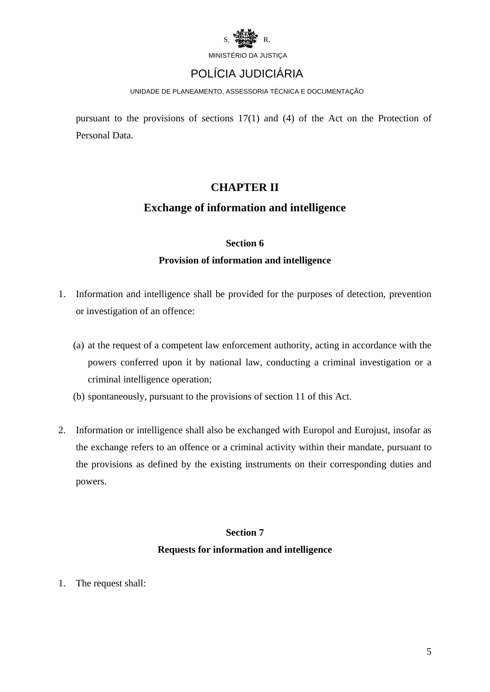

## POLÍCIA JUDICIÁRIA

UNIDADE DE PLANEAMENTO, ASSESSORIA TÉCNICA E DOCUMENTAÇÃO

pursuant to the provisions of sections 17(1) and (4) of the Act on the Protection of Personal Data.

### **CHAPTER II**

#### **Exchange of information and intelligence**

#### **Section 6**

#### **Provision of information and intelligence**

- 1. Information and intelligence shall be provided for the purposes of detection, prevention or investigation of an offence:
	- (a) at the request of a competent law enforcement authority, acting in accordance with the powers conferred upon it by national law, conducting a criminal investigation or a criminal intelligence operation;
	- (b) spontaneously, pursuant to the provisions of section 11 of this Act.
- 2. Information or intelligence shall also be exchanged with Europol and Eurojust, insofar as the exchange refers to an offence or a criminal activity within their mandate, pursuant to the provisions as defined by the existing instruments on their corresponding duties and powers.

## **Section 7 Requests for information and intelligence**

1. The request shall: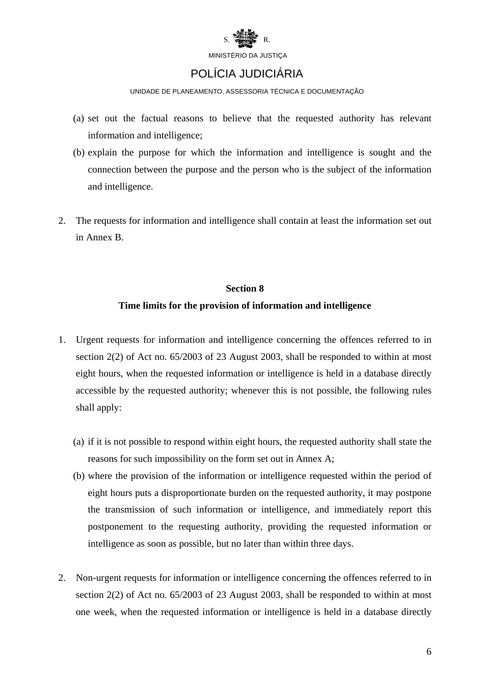

## POLÍCIA JUDICIÁRIA

UNIDADE DE PLANEAMENTO, ASSESSORIA TÉCNICA E DOCUMENTAÇÃO

- (a) set out the factual reasons to believe that the requested authority has relevant information and intelligence;
- (b) explain the purpose for which the information and intelligence is sought and the connection between the purpose and the person who is the subject of the information and intelligence.
- 2. The requests for information and intelligence shall contain at least the information set out in Annex B.

#### **Section 8**

#### **Time limits for the provision of information and intelligence**

- 1. Urgent requests for information and intelligence concerning the offences referred to in section 2(2) of Act no. 65/2003 of 23 August 2003, shall be responded to within at most eight hours, when the requested information or intelligence is held in a database directly accessible by the requested authority; whenever this is not possible, the following rules shall apply:
	- (a) if it is not possible to respond within eight hours, the requested authority shall state the reasons for such impossibility on the form set out in Annex A;
	- (b) where the provision of the information or intelligence requested within the period of eight hours puts a disproportionate burden on the requested authority, it may postpone the transmission of such information or intelligence, and immediately report this postponement to the requesting authority, providing the requested information or intelligence as soon as possible, but no later than within three days.
- 2. Non-urgent requests for information or intelligence concerning the offences referred to in section 2(2) of Act no. 65/2003 of 23 August 2003, shall be responded to within at most one week, when the requested information or intelligence is held in a database directly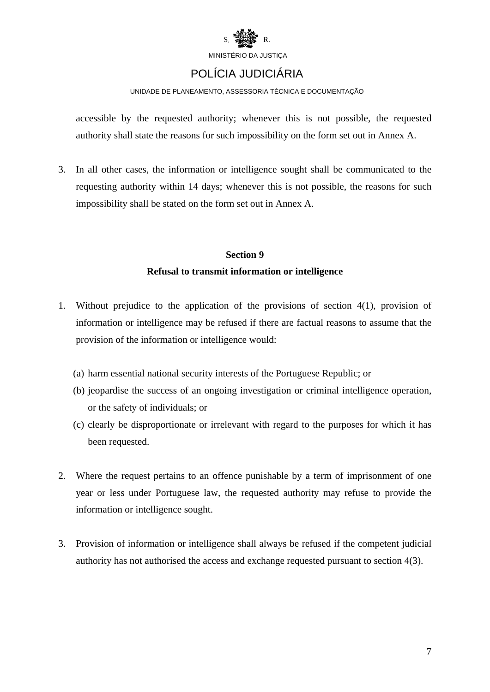

## POLÍCIA JUDICIÁRIA

#### UNIDADE DE PLANEAMENTO, ASSESSORIA TÉCNICA E DOCUMENTAÇÃO

accessible by the requested authority; whenever this is not possible, the requested authority shall state the reasons for such impossibility on the form set out in Annex A.

3. In all other cases, the information or intelligence sought shall be communicated to the requesting authority within 14 days; whenever this is not possible, the reasons for such impossibility shall be stated on the form set out in Annex A.

### **Section 9 Refusal to transmit information or intelligence**

- 1. Without prejudice to the application of the provisions of section 4(1), provision of information or intelligence may be refused if there are factual reasons to assume that the provision of the information or intelligence would:
	- (a) harm essential national security interests of the Portuguese Republic; or
	- (b) jeopardise the success of an ongoing investigation or criminal intelligence operation, or the safety of individuals; or
	- (c) clearly be disproportionate or irrelevant with regard to the purposes for which it has been requested.
- 2. Where the request pertains to an offence punishable by a term of imprisonment of one year or less under Portuguese law, the requested authority may refuse to provide the information or intelligence sought.
- 3. Provision of information or intelligence shall always be refused if the competent judicial authority has not authorised the access and exchange requested pursuant to section 4(3).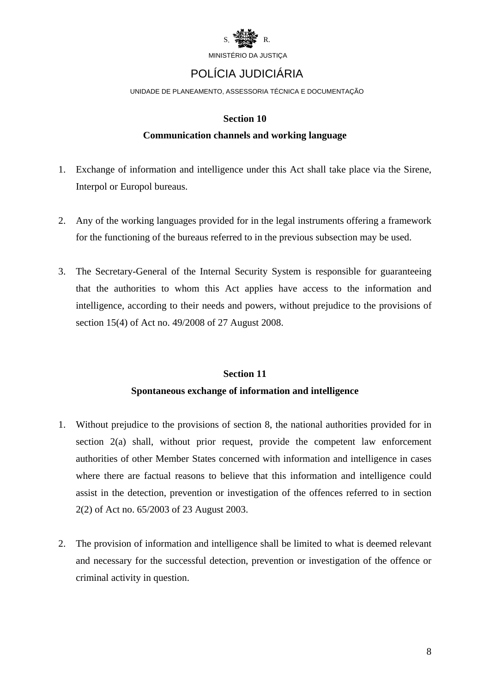

## POLÍCIA JUDICIÁRIA

UNIDADE DE PLANEAMENTO, ASSESSORIA TÉCNICA E DOCUMENTAÇÃO

#### **Section 10**

#### **Communication channels and working language**

- 1. Exchange of information and intelligence under this Act shall take place via the Sirene, Interpol or Europol bureaus.
- 2. Any of the working languages provided for in the legal instruments offering a framework for the functioning of the bureaus referred to in the previous subsection may be used.
- 3. The Secretary-General of the Internal Security System is responsible for guaranteeing that the authorities to whom this Act applies have access to the information and intelligence, according to their needs and powers, without prejudice to the provisions of section 15(4) of Act no. 49/2008 of 27 August 2008.

### **Section 11 Spontaneous exchange of information and intelligence**

- 1. Without prejudice to the provisions of section 8, the national authorities provided for in section 2(a) shall, without prior request, provide the competent law enforcement authorities of other Member States concerned with information and intelligence in cases where there are factual reasons to believe that this information and intelligence could assist in the detection, prevention or investigation of the offences referred to in section 2(2) of Act no. 65/2003 of 23 August 2003.
- 2. The provision of information and intelligence shall be limited to what is deemed relevant and necessary for the successful detection, prevention or investigation of the offence or criminal activity in question.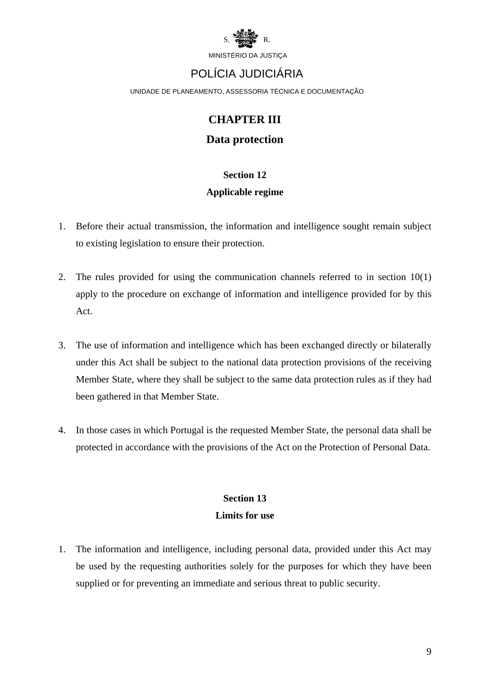

## POLÍCIA JUDICIÁRIA

UNIDADE DE PLANEAMENTO, ASSESSORIA TÉCNICA E DOCUMENTAÇÃO

### **CHAPTER III**

#### **Data protection**

### **Section 12**

#### **Applicable regime**

- 1. Before their actual transmission, the information and intelligence sought remain subject to existing legislation to ensure their protection.
- 2. The rules provided for using the communication channels referred to in section 10(1) apply to the procedure on exchange of information and intelligence provided for by this Act.
- 3. The use of information and intelligence which has been exchanged directly or bilaterally under this Act shall be subject to the national data protection provisions of the receiving Member State, where they shall be subject to the same data protection rules as if they had been gathered in that Member State.
- 4. In those cases in which Portugal is the requested Member State, the personal data shall be protected in accordance with the provisions of the Act on the Protection of Personal Data.

### **Section 13 Limits for use**

1. The information and intelligence, including personal data, provided under this Act may be used by the requesting authorities solely for the purposes for which they have been supplied or for preventing an immediate and serious threat to public security.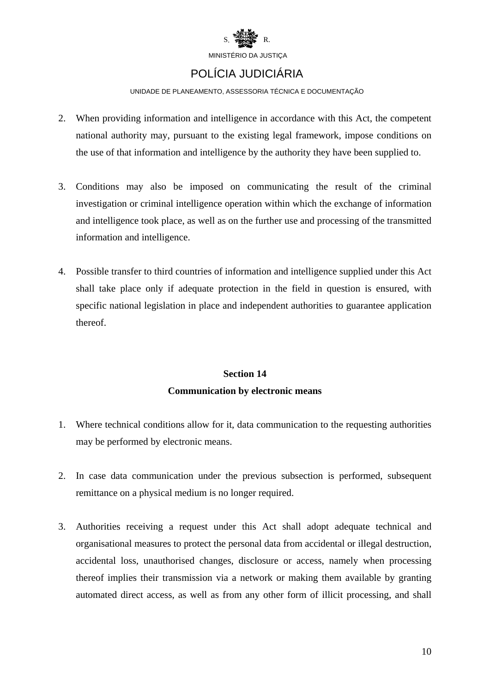

## POLÍCIA JUDICIÁRIA

#### UNIDADE DE PLANEAMENTO, ASSESSORIA TÉCNICA E DOCUMENTAÇÃO

- 2. When providing information and intelligence in accordance with this Act, the competent national authority may, pursuant to the existing legal framework, impose conditions on the use of that information and intelligence by the authority they have been supplied to.
- 3. Conditions may also be imposed on communicating the result of the criminal investigation or criminal intelligence operation within which the exchange of information and intelligence took place, as well as on the further use and processing of the transmitted information and intelligence.
- 4. Possible transfer to third countries of information and intelligence supplied under this Act shall take place only if adequate protection in the field in question is ensured, with specific national legislation in place and independent authorities to guarantee application thereof.

### **Section 14 Communication by electronic means**

- 1. Where technical conditions allow for it, data communication to the requesting authorities may be performed by electronic means.
- 2. In case data communication under the previous subsection is performed, subsequent remittance on a physical medium is no longer required.
- 3. Authorities receiving a request under this Act shall adopt adequate technical and organisational measures to protect the personal data from accidental or illegal destruction, accidental loss, unauthorised changes, disclosure or access, namely when processing thereof implies their transmission via a network or making them available by granting automated direct access, as well as from any other form of illicit processing, and shall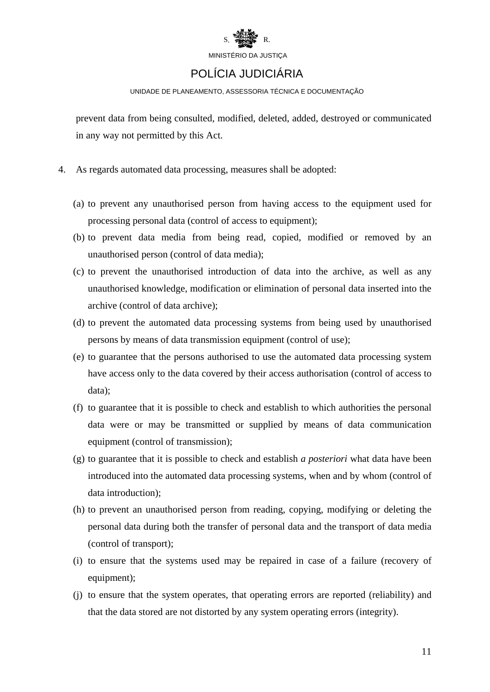

## POLÍCIA JUDICIÁRIA

#### UNIDADE DE PLANEAMENTO, ASSESSORIA TÉCNICA E DOCUMENTAÇÃO

prevent data from being consulted, modified, deleted, added, destroyed or communicated in any way not permitted by this Act.

- 4. As regards automated data processing, measures shall be adopted:
	- (a) to prevent any unauthorised person from having access to the equipment used for processing personal data (control of access to equipment);
	- (b) to prevent data media from being read, copied, modified or removed by an unauthorised person (control of data media);
	- (c) to prevent the unauthorised introduction of data into the archive, as well as any unauthorised knowledge, modification or elimination of personal data inserted into the archive (control of data archive);
	- (d) to prevent the automated data processing systems from being used by unauthorised persons by means of data transmission equipment (control of use);
	- (e) to guarantee that the persons authorised to use the automated data processing system have access only to the data covered by their access authorisation (control of access to data);
	- (f) to guarantee that it is possible to check and establish to which authorities the personal data were or may be transmitted or supplied by means of data communication equipment (control of transmission);
	- (g) to guarantee that it is possible to check and establish *a posteriori* what data have been introduced into the automated data processing systems, when and by whom (control of data introduction);
	- (h) to prevent an unauthorised person from reading, copying, modifying or deleting the personal data during both the transfer of personal data and the transport of data media (control of transport);
	- (i) to ensure that the systems used may be repaired in case of a failure (recovery of equipment);
	- (j) to ensure that the system operates, that operating errors are reported (reliability) and that the data stored are not distorted by any system operating errors (integrity).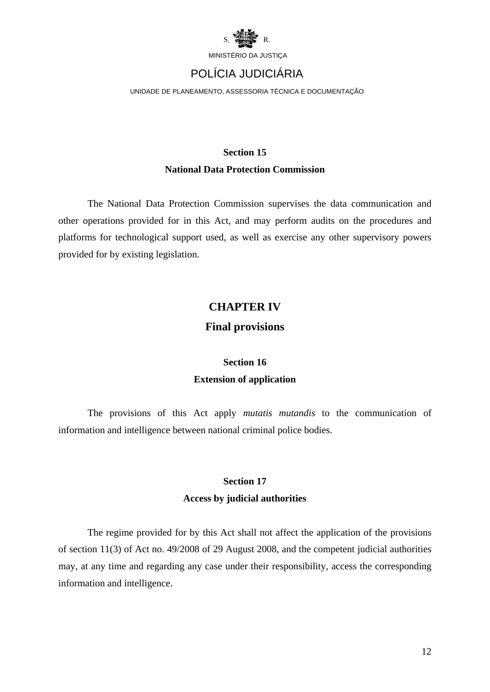

## POLÍCIA JUDICIÁRIA

UNIDADE DE PLANEAMENTO, ASSESSORIA TÉCNICA E DOCUMENTAÇÃO

### **Section 15 National Data Protection Commission**

The National Data Protection Commission supervises the data communication and other operations provided for in this Act, and may perform audits on the procedures and platforms for technological support used, as well as exercise any other supervisory powers provided for by existing legislation.

### **CHAPTER IV**

### **Final provisions**

## **Section 16 Extension of application**

The provisions of this Act apply *mutatis mutandis* to the communication of information and intelligence between national criminal police bodies.

### **Section 17**

#### **Access by judicial authorities**

The regime provided for by this Act shall not affect the application of the provisions of section 11(3) of Act no. 49/2008 of 29 August 2008, and the competent judicial authorities may, at any time and regarding any case under their responsibility, access the corresponding information and intelligence.